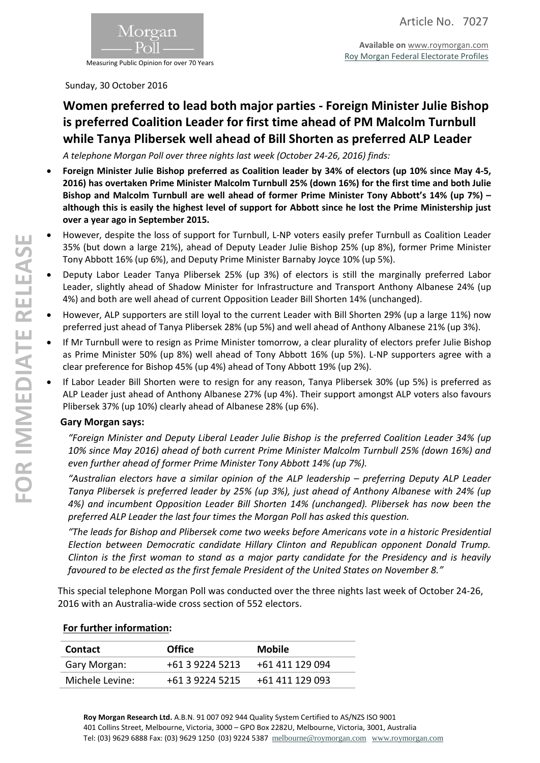

Measuring Public Opinion for over 70 Years

Sunday, 30 October 2016

## **Women preferred to lead both major parties - Foreign Minister Julie Bishop is preferred Coalition Leader for first time ahead of PM Malcolm Turnbull while Tanya Plibersek well ahead of Bill Shorten as preferred ALP Leader**

*A telephone Morgan Poll over three nights last week (October 24-26, 2016) finds:*

- **Foreign Minister Julie Bishop preferred as Coalition leader by 34% of electors (up 10% since May 4-5, 2016) has overtaken Prime Minister Malcolm Turnbull 25% (down 16%) for the first time and both Julie Bishop and Malcolm Turnbull are well ahead of former Prime Minister Tony Abbott's 14% (up 7%) – although this is easily the highest level of support for Abbott since he lost the Prime Ministership just over a year ago in September 2015.**
- However, despite the loss of support for Turnbull, L-NP voters easily prefer Turnbull as Coalition Leader 35% (but down a large 21%), ahead of Deputy Leader Julie Bishop 25% (up 8%), former Prime Minister Tony Abbott 16% (up 6%), and Deputy Prime Minister Barnaby Joyce 10% (up 5%).
- Deputy Labor Leader Tanya Plibersek 25% (up 3%) of electors is still the marginally preferred Labor Leader, slightly ahead of Shadow Minister for Infrastructure and Transport Anthony Albanese 24% (up 4%) and both are well ahead of current Opposition Leader Bill Shorten 14% (unchanged).
- However, ALP supporters are still loyal to the current Leader with Bill Shorten 29% (up a large 11%) now preferred just ahead of Tanya Plibersek 28% (up 5%) and well ahead of Anthony Albanese 21% (up 3%).
- If Mr Turnbull were to resign as Prime Minister tomorrow, a clear plurality of electors prefer Julie Bishop as Prime Minister 50% (up 8%) well ahead of Tony Abbott 16% (up 5%). L-NP supporters agree with a clear preference for Bishop 45% (up 4%) ahead of Tony Abbott 19% (up 2%).
- If Labor Leader Bill Shorten were to resign for any reason, Tanya Plibersek 30% (up 5%) is preferred as ALP Leader just ahead of Anthony Albanese 27% (up 4%). Their support amongst ALP voters also favours Plibersek 37% (up 10%) clearly ahead of Albanese 28% (up 6%).

### **Gary Morgan says:**

*"Foreign Minister and Deputy Liberal Leader Julie Bishop is the preferred Coalition Leader 34% (up 10% since May 2016) ahead of both current Prime Minister Malcolm Turnbull 25% (down 16%) and even further ahead of former Prime Minister Tony Abbott 14% (up 7%).*

*"Australian electors have a similar opinion of the ALP leadership – preferring Deputy ALP Leader Tanya Plibersek is preferred leader by 25% (up 3%), just ahead of Anthony Albanese with 24% (up 4%) and incumbent Opposition Leader Bill Shorten 14% (unchanged). Plibersek has now been the preferred ALP Leader the last four times the Morgan Poll has asked this question.*

*"The leads for Bishop and Plibersek come two weeks before Americans vote in a historic Presidential Election between Democratic candidate Hillary Clinton and Republican opponent Donald Trump. Clinton is the first woman to stand as a major party candidate for the Presidency and is heavily favoured to be elected as the first female President of the United States on November 8."*

This special telephone Morgan Poll was conducted over the three nights last week of October 24-26, 2016 with an Australia-wide cross section of 552 electors.

| <b>Contact</b>  | <b>Office</b>   | <b>Mobile</b>   |
|-----------------|-----------------|-----------------|
| Gary Morgan:    | +61 3 9224 5213 | +61 411 129 094 |
| Michele Levine: | +61 3 9224 5215 | +61 411 129 093 |

## **For further information:**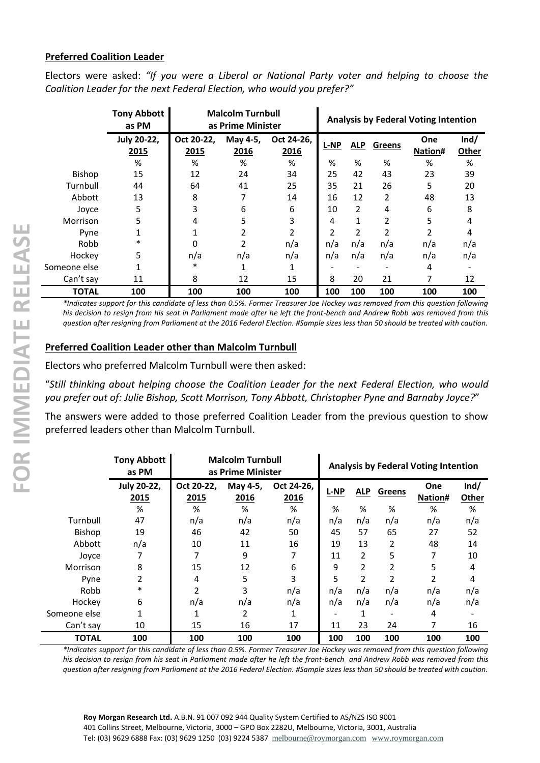#### **Preferred Coalition Leader**

Electors were asked: *"If you were a Liberal or National Party voter and helping to choose the Coalition Leader for the next Federal Election, who would you prefer?"*

|               | <b>Tony Abbott</b><br>as PM | <b>Malcolm Turnbull</b><br>as Prime Minister |                  |                    |             | <b>Analysis by Federal Voting Intention</b> |        |                |               |
|---------------|-----------------------------|----------------------------------------------|------------------|--------------------|-------------|---------------------------------------------|--------|----------------|---------------|
|               | <b>July 20-22,</b><br>2015  | Oct 20-22.<br>2015                           | May 4-5,<br>2016 | Oct 24-26,<br>2016 | <b>L-NP</b> | <b>ALP</b>                                  | Greens | One<br>Nation# | Ind/<br>Other |
|               | %                           | %                                            | %                | %                  | %           | %                                           | %      | %              | %             |
| <b>Bishop</b> | 15                          | 12                                           | 24               | 34                 | 25          | 42                                          | 43     | 23             | 39            |
| Turnbull      | 44                          | 64                                           | 41               | 25                 | 35          | 21                                          | 26     | 5              | 20            |
| Abbott        | 13                          | 8                                            |                  | 14                 | 16          | 12                                          | 2      | 48             | 13            |
| Joyce         | 5                           | 3                                            | 6                | 6                  | 10          | 2                                           | 4      | 6              | 8             |
| Morrison      | 5                           | 4                                            | 5                | 3                  | 4           | 1                                           | 2      | 5              | 4             |
| Pyne          | 1                           |                                              |                  | 2                  | 2           | $\overline{2}$                              | 2      |                | 4             |
| Robb          | $\ast$                      | $\Omega$                                     | $\overline{2}$   | n/a                | n/a         | n/a                                         | n/a    | n/a            | n/a           |
| Hockey        | 5                           | n/a                                          | n/a              | n/a                | n/a         | n/a                                         | n/a    | n/a            | n/a           |
| Someone else  |                             | *                                            | 1                | 1                  |             |                                             |        | 4              |               |
| Can't say     | 11                          | 8                                            | 12               | 15                 | 8           | 20                                          | 21     |                | 12            |
| <b>TOTAL</b>  | 100                         | 100                                          | 100              | 100                | 100         | 100                                         | 100    | 100            | 100           |

*\*Indicates support for this candidate of less than 0.5%. Former Treasurer Joe Hockey was removed from this question following his decision to resign from his seat in Parliament made after he left the front-bench and Andrew Robb was removed from this question after resigning from Parliament at the 2016 Federal Election. #Sample sizes less than 50 should be treated with caution.*

## **Preferred Coalition Leader other than Malcolm Turnbull**

Electors who preferred Malcolm Turnbull were then asked:

"*Still thinking about helping choose the Coalition Leader for the next Federal Election, who would you prefer out of: Julie Bishop, Scott Morrison, Tony Abbott, Christopher Pyne and Barnaby Joyce?*"

The answers were added to those preferred Coalition Leader from the previous question to show preferred leaders other than Malcolm Turnbull.

|               | <b>Tony Abbott</b><br>as PM | <b>Malcolm Turnbull</b><br>as Prime Minister |                  |                    |             | <b>Analysis by Federal Voting Intention</b> |                |                |               |  |
|---------------|-----------------------------|----------------------------------------------|------------------|--------------------|-------------|---------------------------------------------|----------------|----------------|---------------|--|
|               | <b>July 20-22,</b><br>2015  | Oct 20-22.<br>2015                           | May 4-5,<br>2016 | Oct 24-26,<br>2016 | <b>L-NP</b> | <b>ALP</b>                                  | Greens         | One<br>Nation# | Ind/<br>Other |  |
|               | %                           | %                                            | %                | %                  | %           | %                                           | %              | %              | %             |  |
| Turnbull      | 47                          | n/a                                          | n/a              | n/a                | n/a         | n/a                                         | n/a            | n/a            | n/a           |  |
| <b>Bishop</b> | 19                          | 46                                           | 42               | 50                 | 45          | 57                                          | 65             | 27             | 52            |  |
| Abbott        | n/a                         | 10                                           | 11               | 16                 | 19          | 13                                          | 2              | 48             | 14            |  |
| Joyce         |                             |                                              | 9                | 7                  | 11          | $\overline{2}$                              | 5              | 7              | 10            |  |
| Morrison      | 8                           | 15                                           | 12               | 6                  | 9           | 2                                           | 2              | 5              | 4             |  |
| Pyne          | 2                           | 4                                            | 5                | 3                  | 5           | 2                                           | $\overline{2}$ | 2              | 4             |  |
| Robb          | *                           | $\overline{2}$                               | 3                | n/a                | n/a         | n/a                                         | n/a            | n/a            | n/a           |  |
| Hockey        | 6                           | n/a                                          | n/a              | n/a                | n/a         | n/a                                         | n/a            | n/a            | n/a           |  |
| Someone else  |                             | 1                                            | 2                |                    |             |                                             |                | 4              |               |  |
| Can't say     | 10                          | 15                                           | 16               | 17                 | 11          | 23                                          | 24             | 7              | 16            |  |
| <b>TOTAL</b>  | 100                         | 100                                          | 100              | 100                | 100         | 100                                         | 100            | 100            | 100           |  |

*\*Indicates support for this candidate of less than 0.5%. Former Treasurer Joe Hockey was removed from this question following his decision to resign from his seat in Parliament made after he left the front-bench and Andrew Robb was removed from this question after resigning from Parliament at the 2016 Federal Election. #Sample sizes less than 50 should be treated with caution.*

**Roy Morgan Research Ltd.** A.B.N. 91 007 092 944 Quality System Certified to AS/NZS ISO 9001 401 Collins Street, Melbourne, Victoria, 3000 – GPO Box 2282U, Melbourne, Victoria, 3001, Australia Tel: (03) 9629 6888 Fax: (03) 9629 1250 (03) 9224 5387 [melbourne@roymorgan.com](mailto:melbourne@roymorgan.com) [www.roymorgan.com](http://www.roymorgan.com/)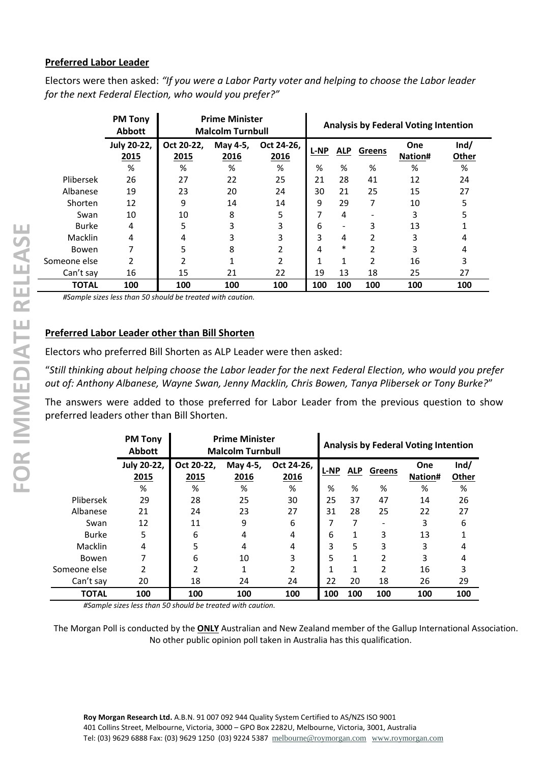#### **Preferred Labor Leader**

Electors were then asked: *"If you were a Labor Party voter and helping to choose the Labor leader for the next Federal Election, who would you prefer?"*

|              | <b>PM Tony</b><br><b>Abbott</b> | <b>Prime Minister</b><br><b>Malcolm Turnbull</b> |                  |                    |             | <b>Analysis by Federal Voting Intention</b> |        |                       |               |  |  |
|--------------|---------------------------------|--------------------------------------------------|------------------|--------------------|-------------|---------------------------------------------|--------|-----------------------|---------------|--|--|
|              | <b>July 20-22,</b><br>2015      | Oct 20-22.<br>2015                               | May 4-5,<br>2016 | Oct 24-26.<br>2016 | <b>L-NP</b> | <b>ALP</b>                                  | Greens | <b>One</b><br>Nation# | Ind/<br>Other |  |  |
|              | %                               | %                                                | %                | %                  | %           | %                                           | %      | %                     | %             |  |  |
| Plibersek    | 26                              | 27                                               | 22               | 25                 | 21          | 28                                          | 41     | 12                    | 24            |  |  |
| Albanese     | 19                              | 23                                               | 20               | 24                 | 30          | 21                                          | 25     | 15                    | 27            |  |  |
| Shorten      | 12                              | 9                                                | 14               | 14                 | 9           | 29                                          | 7      | 10                    | 5             |  |  |
| Swan         | 10                              | 10                                               | 8                | 5                  | 7           | 4                                           |        | 3                     | 5             |  |  |
| <b>Burke</b> | 4                               | 5                                                | 3                | 3                  | 6           |                                             | 3      | 13                    |               |  |  |
| Macklin      | 4                               | 4                                                | 3                | 3                  | 3           | 4                                           | 2      | 3                     | 4             |  |  |
| <b>Bowen</b> | 7                               | 5                                                | 8                | 2                  | 4           | $\ast$                                      | 2      | 3                     | 4             |  |  |
| Someone else | 2                               |                                                  |                  | 2                  | 1           | 1                                           | 2      | 16                    | 3             |  |  |
| Can't say    | 16                              | 15                                               | 21               | 22                 | 19          | 13                                          | 18     | 25                    | 27            |  |  |
| <b>TOTAL</b> | 100                             | 100                                              | 100              | 100                | 100         | 100                                         | 100    | 100                   | 100           |  |  |

*#Sample sizes less than 50 should be treated with caution.*

#### **Preferred Labor Leader other than Bill Shorten**

Electors who preferred Bill Shorten as ALP Leader were then asked:

"*Still thinking about helping choose the Labor leader for the next Federal Election, who would you prefer out of: Anthony Albanese, Wayne Swan, Jenny Macklin, Chris Bowen, Tanya Plibersek or Tony Burke?*"

The answers were added to those preferred for Labor Leader from the previous question to show preferred leaders other than Bill Shorten.

|              | <b>PM Tony</b><br><b>Abbott</b> | <b>Prime Minister</b><br><b>Malcolm Turnbull</b> |                  |                    |             | <b>Analysis by Federal Voting Intention</b> |               |                |               |
|--------------|---------------------------------|--------------------------------------------------|------------------|--------------------|-------------|---------------------------------------------|---------------|----------------|---------------|
|              | <b>July 20-22,</b><br>2015      | Oct 20-22.<br>2015                               | May 4-5,<br>2016 | Oct 24-26.<br>2016 | <b>L-NP</b> | <b>ALP</b>                                  | <b>Greens</b> | One<br>Nation# | Ind/<br>Other |
|              | %                               | %                                                | %                | %                  | %           | %                                           | %             | %              | %             |
| Plibersek    | 29                              | 28                                               | 25               | 30                 | 25          | 37                                          | 47            | 14             | 26            |
| Albanese     | 21                              | 24                                               | 23               | 27                 | 31          | 28                                          | 25            | 22             | 27            |
| Swan         | 12                              | 11                                               | 9                | 6                  | 7           |                                             |               | 3              | 6             |
| <b>Burke</b> | 5                               | 6                                                | 4                | 4                  | 6           |                                             | 3             | 13             |               |
| Macklin      | 4                               | 5                                                | 4                | 4                  | 3           | 5                                           | 3             | 3              | 4             |
| Bowen        |                                 | 6                                                | 10               | 3                  | 5           |                                             | 2             | 3              | 4             |
| Someone else | 2                               | 2                                                |                  | 2                  | 1           | 1                                           | 2             | 16             | 3             |
| Can't say    | 20                              | 18                                               | 24               | 24                 | 22          | 20                                          | 18            | 26             | 29            |
| <b>TOTAL</b> | 100                             | 100                                              | 100              | 100                | 100         | 100                                         | 100           | 100            | 100           |

*#Sample sizes less than 50 should be treated with caution.*

The Morgan Poll is conducted by the **ONLY** Australian and New Zealand member of the Gallup International Association. No other public opinion poll taken in Australia has this qualification.